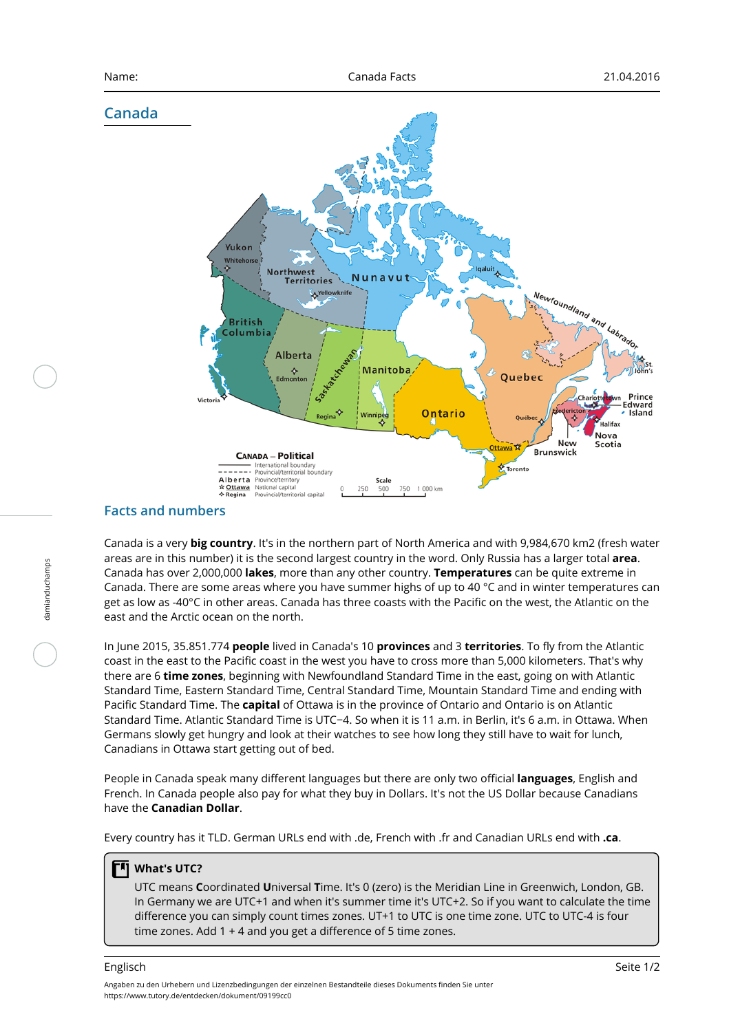## **Canada**



# **Facts and numbers**

damianduchamps

damianduchamps

Canada is a very **big country**. It's in the northern part of North America and with 9,984,670 km2 (fresh water areas are in this number) it is the second largest country in the word. Only Russia has a larger total **area**. Canada has over 2,000,000 **lakes**, more than any other country. **Temperatures** can be quite extreme in Canada. There are some areas where you have summer highs of up to 40 °C and in winter temperatures can get as low as -40°C in other areas. Canada has three coasts with the Pacific on the west, the Atlantic on the east and the Arctic ocean on the north.

In June 2015, 35.851.774 **people** lived in Canada's 10 **provinces** and 3 **territories**. To fly from the Atlantic coast in the east to the Pacific coast in the west you have to cross more than 5,000 kilometers. That's why there are 6 **time zones**, beginning with Newfoundland Standard Time in the east, going on with Atlantic Standard Time, Eastern Standard Time, Central Standard Time, Mountain Standard Time and ending with Pacific Standard Time. The **capital** of Ottawa is in the province of Ontario and Ontario is on Atlantic Standard Time. Atlantic Standard Time is UTC−4. So when it is 11 a.m. in Berlin, it's 6 a.m. in Ottawa. When Germans slowly get hungry and look at their watches to see how long they still have to wait for lunch, Canadians in Ottawa start getting out of bed.

People in Canada speak many different languages but there are only two official **languages**, English and French. In Canada people also pay for what they buy in Dollars. It's not the US Dollar because Canadians have the **Canadian Dollar**.

Every country has it TLD. German URLs end with .de, French with .fr and Canadian URLs end with **.ca**.

#### **What's UTC?**

UTC means **C**oordinated **U**niversal **T**ime. It's 0 (zero) is the Meridian Line in Greenwich, London, GB. In Germany we are UTC+1 and when it's summer time it's UTC+2. So if you want to calculate the time difference you can simply count times zones. UT+1 to UTC is one time zone. UTC to UTC-4 is four time zones. Add 1 + 4 and you get a difference of 5 time zones.